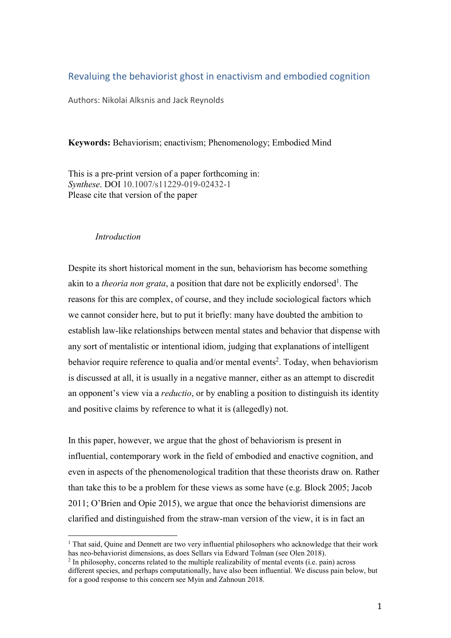## Revaluing the behaviorist ghost in enactivism and embodied cognition

Authors: Nikolai Alksnis and Jack Reynolds

#### Keywords: Behaviorism; enactivism; Phenomenology; Embodied Mind

This is a pre-print version of a paper forthcoming in: Synthese. DOI 10.1007/s11229-019-02432-1 Please cite that version of the paper

#### **Introduction**

-

Despite its short historical moment in the sun, behaviorism has become something akin to a *theoria non grata*, a position that dare not be explicitly endorsed<sup>1</sup>. The reasons for this are complex, of course, and they include sociological factors which we cannot consider here, but to put it briefly: many have doubted the ambition to establish law-like relationships between mental states and behavior that dispense with any sort of mentalistic or intentional idiom, judging that explanations of intelligent behavior require reference to qualia and/or mental events<sup>2</sup>. Today, when behaviorism is discussed at all, it is usually in a negative manner, either as an attempt to discredit an opponent's view via a reductio, or by enabling a position to distinguish its identity and positive claims by reference to what it is (allegedly) not.

In this paper, however, we argue that the ghost of behaviorism is present in influential, contemporary work in the field of embodied and enactive cognition, and even in aspects of the phenomenological tradition that these theorists draw on. Rather than take this to be a problem for these views as some have (e.g. Block 2005; Jacob 2011; O'Brien and Opie 2015), we argue that once the behaviorist dimensions are clarified and distinguished from the straw-man version of the view, it is in fact an

<sup>&</sup>lt;sup>1</sup> That said, Quine and Dennett are two very influential philosophers who acknowledge that their work has neo-behaviorist dimensions, as does Sellars via Edward Tolman (see Olen 2018).

 $2$  In philosophy, concerns related to the multiple realizability of mental events (i.e. pain) across different species, and perhaps computationally, have also been influential. We discuss pain below, but for a good response to this concern see Myin and Zahnoun 2018.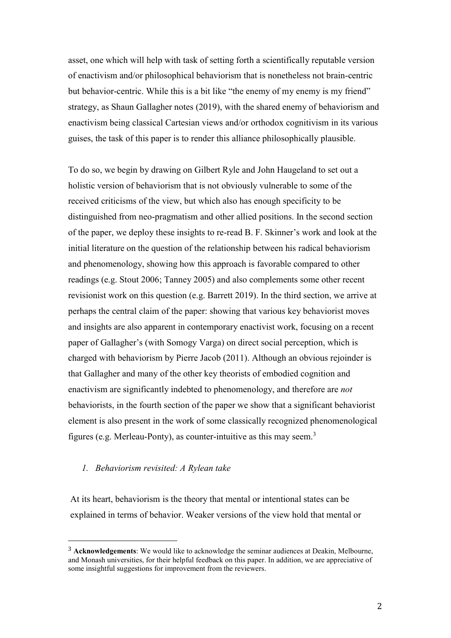asset, one which will help with task of setting forth a scientifically reputable version of enactivism and/or philosophical behaviorism that is nonetheless not brain-centric but behavior-centric. While this is a bit like "the enemy of my enemy is my friend" strategy, as Shaun Gallagher notes (2019), with the shared enemy of behaviorism and enactivism being classical Cartesian views and/or orthodox cognitivism in its various guises, the task of this paper is to render this alliance philosophically plausible.

To do so, we begin by drawing on Gilbert Ryle and John Haugeland to set out a holistic version of behaviorism that is not obviously vulnerable to some of the received criticisms of the view, but which also has enough specificity to be distinguished from neo-pragmatism and other allied positions. In the second section of the paper, we deploy these insights to re-read B. F. Skinner's work and look at the initial literature on the question of the relationship between his radical behaviorism and phenomenology, showing how this approach is favorable compared to other readings (e.g. Stout 2006; Tanney 2005) and also complements some other recent revisionist work on this question (e.g. Barrett 2019). In the third section, we arrive at perhaps the central claim of the paper: showing that various key behaviorist moves and insights are also apparent in contemporary enactivist work, focusing on a recent paper of Gallagher's (with Somogy Varga) on direct social perception, which is charged with behaviorism by Pierre Jacob (2011). Although an obvious rejoinder is that Gallagher and many of the other key theorists of embodied cognition and enactivism are significantly indebted to phenomenology, and therefore are not behaviorists, in the fourth section of the paper we show that a significant behaviorist element is also present in the work of some classically recognized phenomenological figures (e.g. Merleau-Ponty), as counter-intuitive as this may seem.<sup>3</sup>

### 1. Behaviorism revisited: A Rylean take

-

At its heart, behaviorism is the theory that mental or intentional states can be explained in terms of behavior. Weaker versions of the view hold that mental or

<sup>3</sup> Acknowledgements: We would like to acknowledge the seminar audiences at Deakin, Melbourne, and Monash universities, for their helpful feedback on this paper. In addition, we are appreciative of some insightful suggestions for improvement from the reviewers.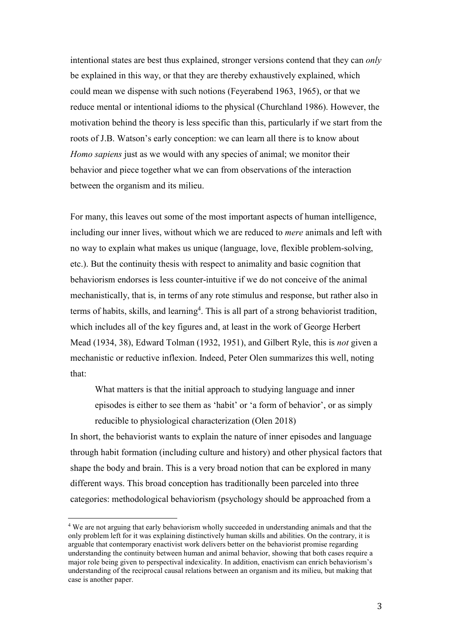intentional states are best thus explained, stronger versions contend that they can only be explained in this way, or that they are thereby exhaustively explained, which could mean we dispense with such notions (Feyerabend 1963, 1965), or that we reduce mental or intentional idioms to the physical (Churchland 1986). However, the motivation behind the theory is less specific than this, particularly if we start from the roots of J.B. Watson's early conception: we can learn all there is to know about Homo sapiens just as we would with any species of animal; we monitor their behavior and piece together what we can from observations of the interaction between the organism and its milieu.

For many, this leaves out some of the most important aspects of human intelligence, including our inner lives, without which we are reduced to *mere* animals and left with no way to explain what makes us unique (language, love, flexible problem-solving, etc.). But the continuity thesis with respect to animality and basic cognition that behaviorism endorses is less counter-intuitive if we do not conceive of the animal mechanistically, that is, in terms of any rote stimulus and response, but rather also in terms of habits, skills, and learning<sup>4</sup>. This is all part of a strong behaviorist tradition, which includes all of the key figures and, at least in the work of George Herbert Mead (1934, 38), Edward Tolman (1932, 1951), and Gilbert Ryle, this is not given a mechanistic or reductive inflexion. Indeed, Peter Olen summarizes this well, noting that:

What matters is that the initial approach to studying language and inner episodes is either to see them as 'habit' or 'a form of behavior', or as simply reducible to physiological characterization (Olen 2018)

In short, the behaviorist wants to explain the nature of inner episodes and language through habit formation (including culture and history) and other physical factors that shape the body and brain. This is a very broad notion that can be explored in many different ways. This broad conception has traditionally been parceled into three categories: methodological behaviorism (psychology should be approached from a

<sup>&</sup>lt;sup>4</sup> We are not arguing that early behaviorism wholly succeeded in understanding animals and that the only problem left for it was explaining distinctively human skills and abilities. On the contrary, it is arguable that contemporary enactivist work delivers better on the behaviorist promise regarding understanding the continuity between human and animal behavior, showing that both cases require a major role being given to perspectival indexicality. In addition, enactivism can enrich behaviorism's understanding of the reciprocal causal relations between an organism and its milieu, but making that case is another paper.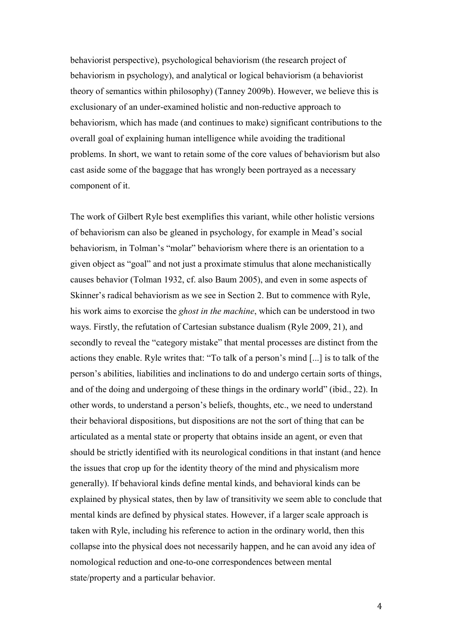behaviorist perspective), psychological behaviorism (the research project of behaviorism in psychology), and analytical or logical behaviorism (a behaviorist theory of semantics within philosophy) (Tanney 2009b). However, we believe this is exclusionary of an under-examined holistic and non-reductive approach to behaviorism, which has made (and continues to make) significant contributions to the overall goal of explaining human intelligence while avoiding the traditional problems. In short, we want to retain some of the core values of behaviorism but also cast aside some of the baggage that has wrongly been portrayed as a necessary component of it.

The work of Gilbert Ryle best exemplifies this variant, while other holistic versions of behaviorism can also be gleaned in psychology, for example in Mead's social behaviorism, in Tolman's "molar" behaviorism where there is an orientation to a given object as "goal" and not just a proximate stimulus that alone mechanistically causes behavior (Tolman 1932, cf. also Baum 2005), and even in some aspects of Skinner's radical behaviorism as we see in Section 2. But to commence with Ryle, his work aims to exorcise the ghost in the machine, which can be understood in two ways. Firstly, the refutation of Cartesian substance dualism (Ryle 2009, 21), and secondly to reveal the "category mistake" that mental processes are distinct from the actions they enable. Ryle writes that: "To talk of a person's mind [...] is to talk of the person's abilities, liabilities and inclinations to do and undergo certain sorts of things, and of the doing and undergoing of these things in the ordinary world" (ibid., 22). In other words, to understand a person's beliefs, thoughts, etc., we need to understand their behavioral dispositions, but dispositions are not the sort of thing that can be articulated as a mental state or property that obtains inside an agent, or even that should be strictly identified with its neurological conditions in that instant (and hence the issues that crop up for the identity theory of the mind and physicalism more generally). If behavioral kinds define mental kinds, and behavioral kinds can be explained by physical states, then by law of transitivity we seem able to conclude that mental kinds are defined by physical states. However, if a larger scale approach is taken with Ryle, including his reference to action in the ordinary world, then this collapse into the physical does not necessarily happen, and he can avoid any idea of nomological reduction and one-to-one correspondences between mental state/property and a particular behavior.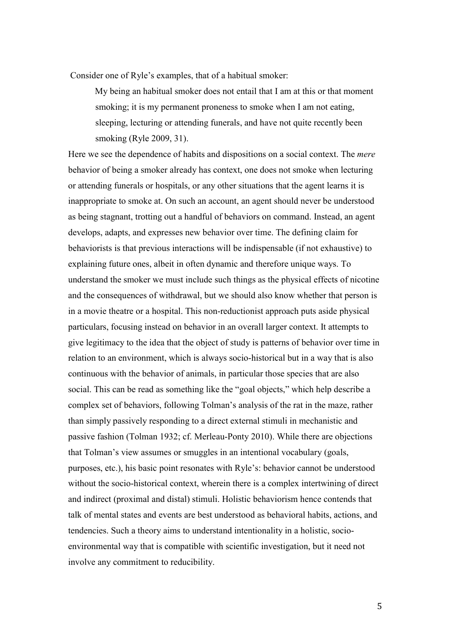Consider one of Ryle's examples, that of a habitual smoker:

My being an habitual smoker does not entail that I am at this or that moment smoking; it is my permanent proneness to smoke when I am not eating, sleeping, lecturing or attending funerals, and have not quite recently been smoking (Ryle 2009, 31).

Here we see the dependence of habits and dispositions on a social context. The mere behavior of being a smoker already has context, one does not smoke when lecturing or attending funerals or hospitals, or any other situations that the agent learns it is inappropriate to smoke at. On such an account, an agent should never be understood as being stagnant, trotting out a handful of behaviors on command. Instead, an agent develops, adapts, and expresses new behavior over time. The defining claim for behaviorists is that previous interactions will be indispensable (if not exhaustive) to explaining future ones, albeit in often dynamic and therefore unique ways. To understand the smoker we must include such things as the physical effects of nicotine and the consequences of withdrawal, but we should also know whether that person is in a movie theatre or a hospital. This non-reductionist approach puts aside physical particulars, focusing instead on behavior in an overall larger context. It attempts to give legitimacy to the idea that the object of study is patterns of behavior over time in relation to an environment, which is always socio-historical but in a way that is also continuous with the behavior of animals, in particular those species that are also social. This can be read as something like the "goal objects," which help describe a complex set of behaviors, following Tolman's analysis of the rat in the maze, rather than simply passively responding to a direct external stimuli in mechanistic and passive fashion (Tolman 1932; cf. Merleau-Ponty 2010). While there are objections that Tolman's view assumes or smuggles in an intentional vocabulary (goals, purposes, etc.), his basic point resonates with Ryle's: behavior cannot be understood without the socio-historical context, wherein there is a complex intertwining of direct and indirect (proximal and distal) stimuli. Holistic behaviorism hence contends that talk of mental states and events are best understood as behavioral habits, actions, and tendencies. Such a theory aims to understand intentionality in a holistic, socioenvironmental way that is compatible with scientific investigation, but it need not involve any commitment to reducibility.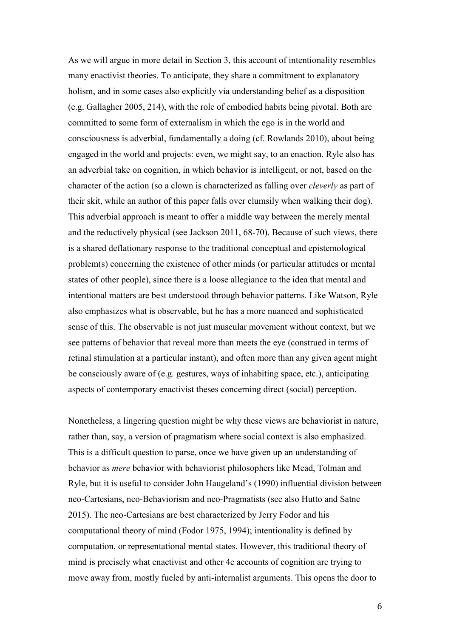As we will argue in more detail in Section 3, this account of intentionality resembles many enactivist theories. To anticipate, they share a commitment to explanatory holism, and in some cases also explicitly via understanding belief as a disposition (e.g. Gallagher 2005, 214), with the role of embodied habits being pivotal. Both are committed to some form of externalism in which the ego is in the world and consciousness is adverbial, fundamentally a doing (cf. Rowlands 2010), about being engaged in the world and projects: even, we might say, to an enaction. Ryle also has an adverbial take on cognition, in which behavior is intelligent, or not, based on the character of the action (so a clown is characterized as falling over cleverly as part of their skit, while an author of this paper falls over clumsily when walking their dog). This adverbial approach is meant to offer a middle way between the merely mental and the reductively physical (see Jackson 2011, 68-70). Because of such views, there is a shared deflationary response to the traditional conceptual and epistemological problem(s) concerning the existence of other minds (or particular attitudes or mental states of other people), since there is a loose allegiance to the idea that mental and intentional matters are best understood through behavior patterns. Like Watson, Ryle also emphasizes what is observable, but he has a more nuanced and sophisticated sense of this. The observable is not just muscular movement without context, but we see patterns of behavior that reveal more than meets the eye (construed in terms of retinal stimulation at a particular instant), and often more than any given agent might be consciously aware of (e.g. gestures, ways of inhabiting space, etc.), anticipating aspects of contemporary enactivist theses concerning direct (social) perception.

Nonetheless, a lingering question might be why these views are behaviorist in nature, rather than, say, a version of pragmatism where social context is also emphasized. This is a difficult question to parse, once we have given up an understanding of behavior as mere behavior with behaviorist philosophers like Mead, Tolman and Ryle, but it is useful to consider John Haugeland's (1990) influential division between neo-Cartesians, neo-Behaviorism and neo-Pragmatists (see also Hutto and Satne 2015). The neo-Cartesians are best characterized by Jerry Fodor and his computational theory of mind (Fodor 1975, 1994); intentionality is defined by computation, or representational mental states. However, this traditional theory of mind is precisely what enactivist and other 4e accounts of cognition are trying to move away from, mostly fueled by anti-internalist arguments. This opens the door to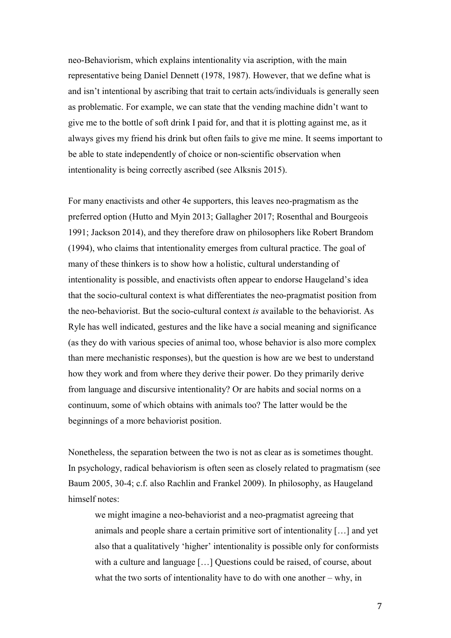neo-Behaviorism, which explains intentionality via ascription, with the main representative being Daniel Dennett (1978, 1987). However, that we define what is and isn't intentional by ascribing that trait to certain acts/individuals is generally seen as problematic. For example, we can state that the vending machine didn't want to give me to the bottle of soft drink I paid for, and that it is plotting against me, as it always gives my friend his drink but often fails to give me mine. It seems important to be able to state independently of choice or non-scientific observation when intentionality is being correctly ascribed (see Alksnis 2015).

For many enactivists and other 4e supporters, this leaves neo-pragmatism as the preferred option (Hutto and Myin 2013; Gallagher 2017; Rosenthal and Bourgeois 1991; Jackson 2014), and they therefore draw on philosophers like Robert Brandom (1994), who claims that intentionality emerges from cultural practice. The goal of many of these thinkers is to show how a holistic, cultural understanding of intentionality is possible, and enactivists often appear to endorse Haugeland's idea that the socio-cultural context is what differentiates the neo-pragmatist position from the neo-behaviorist. But the socio-cultural context is available to the behaviorist. As Ryle has well indicated, gestures and the like have a social meaning and significance (as they do with various species of animal too, whose behavior is also more complex than mere mechanistic responses), but the question is how are we best to understand how they work and from where they derive their power. Do they primarily derive from language and discursive intentionality? Or are habits and social norms on a continuum, some of which obtains with animals too? The latter would be the beginnings of a more behaviorist position.

Nonetheless, the separation between the two is not as clear as is sometimes thought. In psychology, radical behaviorism is often seen as closely related to pragmatism (see Baum 2005, 30-4; c.f. also Rachlin and Frankel 2009). In philosophy, as Haugeland himself notes:

we might imagine a neo-behaviorist and a neo-pragmatist agreeing that animals and people share a certain primitive sort of intentionality […] and yet also that a qualitatively 'higher' intentionality is possible only for conformists with a culture and language [...] Questions could be raised, of course, about what the two sorts of intentionality have to do with one another – why, in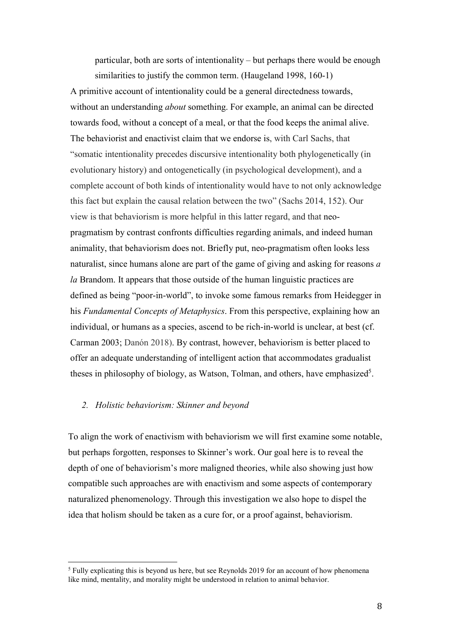particular, both are sorts of intentionality – but perhaps there would be enough similarities to justify the common term. (Haugeland 1998, 160-1)

A primitive account of intentionality could be a general directedness towards, without an understanding *about* something. For example, an animal can be directed towards food, without a concept of a meal, or that the food keeps the animal alive. The behaviorist and enactivist claim that we endorse is, with Carl Sachs, that "somatic intentionality precedes discursive intentionality both phylogenetically (in evolutionary history) and ontogenetically (in psychological development), and a complete account of both kinds of intentionality would have to not only acknowledge this fact but explain the causal relation between the two" (Sachs 2014, 152). Our view is that behaviorism is more helpful in this latter regard, and that neopragmatism by contrast confronts difficulties regarding animals, and indeed human animality, that behaviorism does not. Briefly put, neo-pragmatism often looks less naturalist, since humans alone are part of the game of giving and asking for reasons  $a$ la Brandom. It appears that those outside of the human linguistic practices are defined as being "poor-in-world", to invoke some famous remarks from Heidegger in his Fundamental Concepts of Metaphysics. From this perspective, explaining how an individual, or humans as a species, ascend to be rich-in-world is unclear, at best (cf. Carman 2003; Danón 2018). By contrast, however, behaviorism is better placed to offer an adequate understanding of intelligent action that accommodates gradualist theses in philosophy of biology, as Watson, Tolman, and others, have emphasized<sup>5</sup>.

#### 2. Holistic behaviorism: Skinner and beyond

-

To align the work of enactivism with behaviorism we will first examine some notable, but perhaps forgotten, responses to Skinner's work. Our goal here is to reveal the depth of one of behaviorism's more maligned theories, while also showing just how compatible such approaches are with enactivism and some aspects of contemporary naturalized phenomenology. Through this investigation we also hope to dispel the idea that holism should be taken as a cure for, or a proof against, behaviorism.

<sup>&</sup>lt;sup>5</sup> Fully explicating this is beyond us here, but see Reynolds 2019 for an account of how phenomena like mind, mentality, and morality might be understood in relation to animal behavior.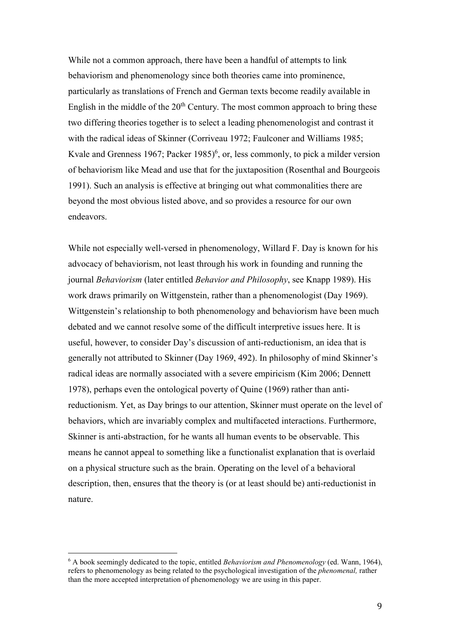While not a common approach, there have been a handful of attempts to link behaviorism and phenomenology since both theories came into prominence, particularly as translations of French and German texts become readily available in English in the middle of the  $20<sup>th</sup>$  Century. The most common approach to bring these two differing theories together is to select a leading phenomenologist and contrast it with the radical ideas of Skinner (Corriveau 1972; Faulconer and Williams 1985; Kvale and Grenness 1967; Packer 1985)<sup>6</sup>, or, less commonly, to pick a milder version of behaviorism like Mead and use that for the juxtaposition (Rosenthal and Bourgeois 1991). Such an analysis is effective at bringing out what commonalities there are beyond the most obvious listed above, and so provides a resource for our own endeavors.

While not especially well-versed in phenomenology, Willard F. Day is known for his advocacy of behaviorism, not least through his work in founding and running the journal Behaviorism (later entitled Behavior and Philosophy, see Knapp 1989). His work draws primarily on Wittgenstein, rather than a phenomenologist (Day 1969). Wittgenstein's relationship to both phenomenology and behaviorism have been much debated and we cannot resolve some of the difficult interpretive issues here. It is useful, however, to consider Day's discussion of anti-reductionism, an idea that is generally not attributed to Skinner (Day 1969, 492). In philosophy of mind Skinner's radical ideas are normally associated with a severe empiricism (Kim 2006; Dennett 1978), perhaps even the ontological poverty of Quine (1969) rather than antireductionism. Yet, as Day brings to our attention, Skinner must operate on the level of behaviors, which are invariably complex and multifaceted interactions. Furthermore, Skinner is anti-abstraction, for he wants all human events to be observable. This means he cannot appeal to something like a functionalist explanation that is overlaid on a physical structure such as the brain. Operating on the level of a behavioral description, then, ensures that the theory is (or at least should be) anti-reductionist in nature.

 $6$  A book seemingly dedicated to the topic, entitled Behaviorism and Phenomenology (ed. Wann, 1964), refers to phenomenology as being related to the psychological investigation of the phenomenal, rather than the more accepted interpretation of phenomenology we are using in this paper.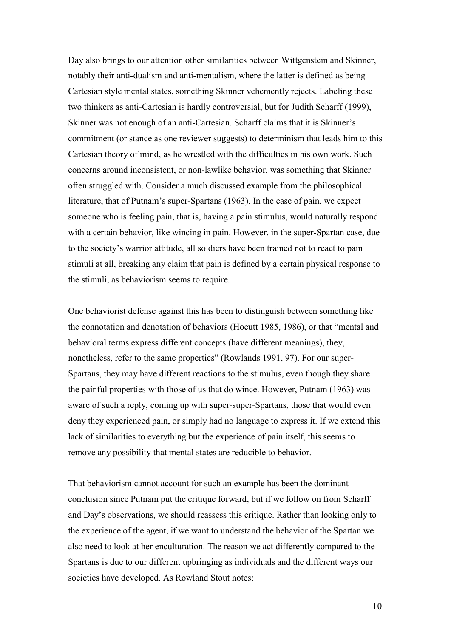Day also brings to our attention other similarities between Wittgenstein and Skinner, notably their anti-dualism and anti-mentalism, where the latter is defined as being Cartesian style mental states, something Skinner vehemently rejects. Labeling these two thinkers as anti-Cartesian is hardly controversial, but for Judith Scharff (1999), Skinner was not enough of an anti-Cartesian. Scharff claims that it is Skinner's commitment (or stance as one reviewer suggests) to determinism that leads him to this Cartesian theory of mind, as he wrestled with the difficulties in his own work. Such concerns around inconsistent, or non-lawlike behavior, was something that Skinner often struggled with. Consider a much discussed example from the philosophical literature, that of Putnam's super-Spartans (1963). In the case of pain, we expect someone who is feeling pain, that is, having a pain stimulus, would naturally respond with a certain behavior, like wincing in pain. However, in the super-Spartan case, due to the society's warrior attitude, all soldiers have been trained not to react to pain stimuli at all, breaking any claim that pain is defined by a certain physical response to the stimuli, as behaviorism seems to require.

One behaviorist defense against this has been to distinguish between something like the connotation and denotation of behaviors (Hocutt 1985, 1986), or that "mental and behavioral terms express different concepts (have different meanings), they, nonetheless, refer to the same properties" (Rowlands 1991, 97). For our super-Spartans, they may have different reactions to the stimulus, even though they share the painful properties with those of us that do wince. However, Putnam (1963) was aware of such a reply, coming up with super-super-Spartans, those that would even deny they experienced pain, or simply had no language to express it. If we extend this lack of similarities to everything but the experience of pain itself, this seems to remove any possibility that mental states are reducible to behavior.

That behaviorism cannot account for such an example has been the dominant conclusion since Putnam put the critique forward, but if we follow on from Scharff and Day's observations, we should reassess this critique. Rather than looking only to the experience of the agent, if we want to understand the behavior of the Spartan we also need to look at her enculturation. The reason we act differently compared to the Spartans is due to our different upbringing as individuals and the different ways our societies have developed. As Rowland Stout notes: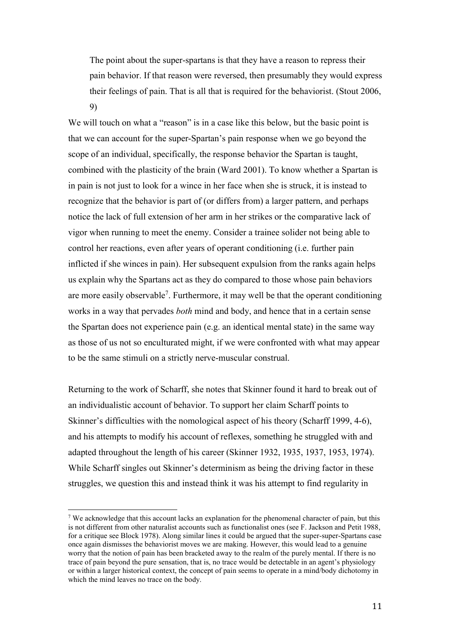The point about the super-spartans is that they have a reason to repress their pain behavior. If that reason were reversed, then presumably they would express their feelings of pain. That is all that is required for the behaviorist. (Stout 2006, 9)

We will touch on what a "reason" is in a case like this below, but the basic point is that we can account for the super-Spartan's pain response when we go beyond the scope of an individual, specifically, the response behavior the Spartan is taught, combined with the plasticity of the brain (Ward 2001). To know whether a Spartan is in pain is not just to look for a wince in her face when she is struck, it is instead to recognize that the behavior is part of (or differs from) a larger pattern, and perhaps notice the lack of full extension of her arm in her strikes or the comparative lack of vigor when running to meet the enemy. Consider a trainee solider not being able to control her reactions, even after years of operant conditioning (i.e. further pain inflicted if she winces in pain). Her subsequent expulsion from the ranks again helps us explain why the Spartans act as they do compared to those whose pain behaviors are more easily observable<sup>7</sup>. Furthermore, it may well be that the operant conditioning works in a way that pervades both mind and body, and hence that in a certain sense the Spartan does not experience pain (e.g. an identical mental state) in the same way as those of us not so enculturated might, if we were confronted with what may appear to be the same stimuli on a strictly nerve-muscular construal.

Returning to the work of Scharff, she notes that Skinner found it hard to break out of an individualistic account of behavior. To support her claim Scharff points to Skinner's difficulties with the nomological aspect of his theory (Scharff 1999, 4-6), and his attempts to modify his account of reflexes, something he struggled with and adapted throughout the length of his career (Skinner 1932, 1935, 1937, 1953, 1974). While Scharff singles out Skinner's determinism as being the driving factor in these struggles, we question this and instead think it was his attempt to find regularity in

<sup>&</sup>lt;sup>7</sup> We acknowledge that this account lacks an explanation for the phenomenal character of pain, but this is not different from other naturalist accounts such as functionalist ones (see F. Jackson and Petit 1988, for a critique see Block 1978). Along similar lines it could be argued that the super-super-Spartans case once again dismisses the behaviorist moves we are making. However, this would lead to a genuine worry that the notion of pain has been bracketed away to the realm of the purely mental. If there is no trace of pain beyond the pure sensation, that is, no trace would be detectable in an agent's physiology or within a larger historical context, the concept of pain seems to operate in a mind/body dichotomy in which the mind leaves no trace on the body.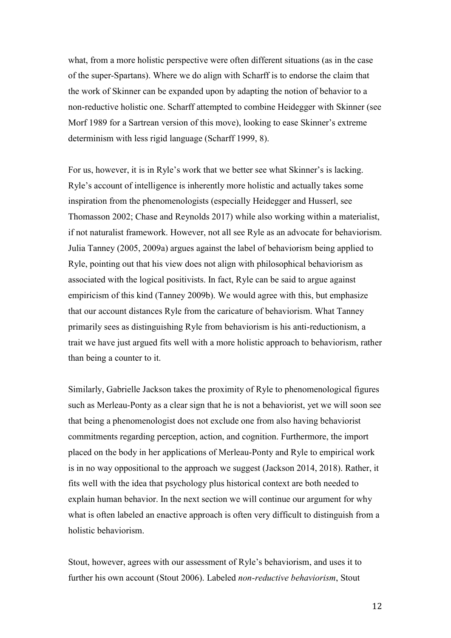what, from a more holistic perspective were often different situations (as in the case of the super-Spartans). Where we do align with Scharff is to endorse the claim that the work of Skinner can be expanded upon by adapting the notion of behavior to a non-reductive holistic one. Scharff attempted to combine Heidegger with Skinner (see Morf 1989 for a Sartrean version of this move), looking to ease Skinner's extreme determinism with less rigid language (Scharff 1999, 8).

For us, however, it is in Ryle's work that we better see what Skinner's is lacking. Ryle's account of intelligence is inherently more holistic and actually takes some inspiration from the phenomenologists (especially Heidegger and Husserl, see Thomasson 2002; Chase and Reynolds 2017) while also working within a materialist, if not naturalist framework. However, not all see Ryle as an advocate for behaviorism. Julia Tanney (2005, 2009a) argues against the label of behaviorism being applied to Ryle, pointing out that his view does not align with philosophical behaviorism as associated with the logical positivists. In fact, Ryle can be said to argue against empiricism of this kind (Tanney 2009b). We would agree with this, but emphasize that our account distances Ryle from the caricature of behaviorism. What Tanney primarily sees as distinguishing Ryle from behaviorism is his anti-reductionism, a trait we have just argued fits well with a more holistic approach to behaviorism, rather than being a counter to it.

Similarly, Gabrielle Jackson takes the proximity of Ryle to phenomenological figures such as Merleau-Ponty as a clear sign that he is not a behaviorist, yet we will soon see that being a phenomenologist does not exclude one from also having behaviorist commitments regarding perception, action, and cognition. Furthermore, the import placed on the body in her applications of Merleau-Ponty and Ryle to empirical work is in no way oppositional to the approach we suggest (Jackson 2014, 2018). Rather, it fits well with the idea that psychology plus historical context are both needed to explain human behavior. In the next section we will continue our argument for why what is often labeled an enactive approach is often very difficult to distinguish from a holistic behaviorism.

Stout, however, agrees with our assessment of Ryle's behaviorism, and uses it to further his own account (Stout 2006). Labeled non-reductive behaviorism, Stout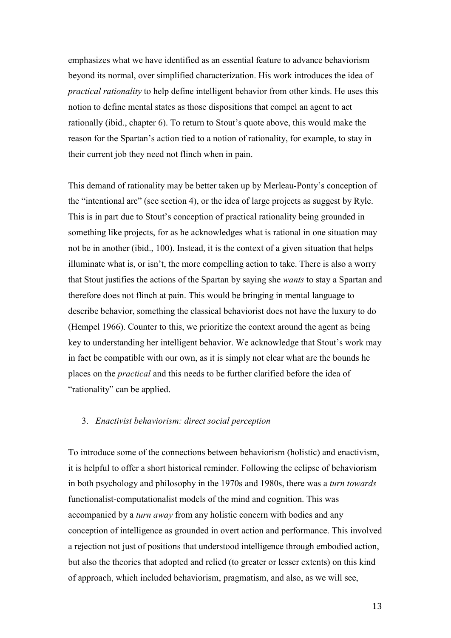emphasizes what we have identified as an essential feature to advance behaviorism beyond its normal, over simplified characterization. His work introduces the idea of practical rationality to help define intelligent behavior from other kinds. He uses this notion to define mental states as those dispositions that compel an agent to act rationally (ibid., chapter 6). To return to Stout's quote above, this would make the reason for the Spartan's action tied to a notion of rationality, for example, to stay in their current job they need not flinch when in pain.

This demand of rationality may be better taken up by Merleau-Ponty's conception of the "intentional arc" (see section 4), or the idea of large projects as suggest by Ryle. This is in part due to Stout's conception of practical rationality being grounded in something like projects, for as he acknowledges what is rational in one situation may not be in another (ibid., 100). Instead, it is the context of a given situation that helps illuminate what is, or isn't, the more compelling action to take. There is also a worry that Stout justifies the actions of the Spartan by saying she wants to stay a Spartan and therefore does not flinch at pain. This would be bringing in mental language to describe behavior, something the classical behaviorist does not have the luxury to do (Hempel 1966). Counter to this, we prioritize the context around the agent as being key to understanding her intelligent behavior. We acknowledge that Stout's work may in fact be compatible with our own, as it is simply not clear what are the bounds he places on the practical and this needs to be further clarified before the idea of "rationality" can be applied.

#### 3. Enactivist behaviorism: direct social perception

To introduce some of the connections between behaviorism (holistic) and enactivism, it is helpful to offer a short historical reminder. Following the eclipse of behaviorism in both psychology and philosophy in the 1970s and 1980s, there was a turn towards functionalist-computationalist models of the mind and cognition. This was accompanied by a *turn away* from any holistic concern with bodies and any conception of intelligence as grounded in overt action and performance. This involved a rejection not just of positions that understood intelligence through embodied action, but also the theories that adopted and relied (to greater or lesser extents) on this kind of approach, which included behaviorism, pragmatism, and also, as we will see,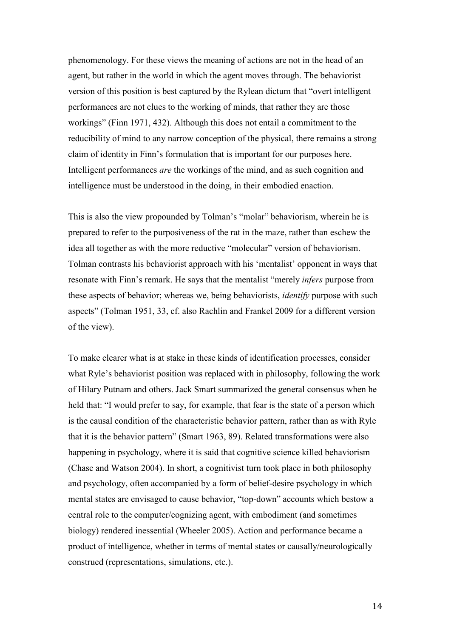phenomenology. For these views the meaning of actions are not in the head of an agent, but rather in the world in which the agent moves through. The behaviorist version of this position is best captured by the Rylean dictum that "overt intelligent performances are not clues to the working of minds, that rather they are those workings" (Finn 1971, 432). Although this does not entail a commitment to the reducibility of mind to any narrow conception of the physical, there remains a strong claim of identity in Finn's formulation that is important for our purposes here. Intelligent performances are the workings of the mind, and as such cognition and intelligence must be understood in the doing, in their embodied enaction.

This is also the view propounded by Tolman's "molar" behaviorism, wherein he is prepared to refer to the purposiveness of the rat in the maze, rather than eschew the idea all together as with the more reductive "molecular" version of behaviorism. Tolman contrasts his behaviorist approach with his 'mentalist' opponent in ways that resonate with Finn's remark. He says that the mentalist "merely infers purpose from these aspects of behavior; whereas we, being behaviorists, identify purpose with such aspects" (Tolman 1951, 33, cf. also Rachlin and Frankel 2009 for a different version of the view).

To make clearer what is at stake in these kinds of identification processes, consider what Ryle's behaviorist position was replaced with in philosophy, following the work of Hilary Putnam and others. Jack Smart summarized the general consensus when he held that: "I would prefer to say, for example, that fear is the state of a person which is the causal condition of the characteristic behavior pattern, rather than as with Ryle that it is the behavior pattern" (Smart 1963, 89). Related transformations were also happening in psychology, where it is said that cognitive science killed behaviorism (Chase and Watson 2004). In short, a cognitivist turn took place in both philosophy and psychology, often accompanied by a form of belief-desire psychology in which mental states are envisaged to cause behavior, "top-down" accounts which bestow a central role to the computer/cognizing agent, with embodiment (and sometimes biology) rendered inessential (Wheeler 2005). Action and performance became a product of intelligence, whether in terms of mental states or causally/neurologically construed (representations, simulations, etc.).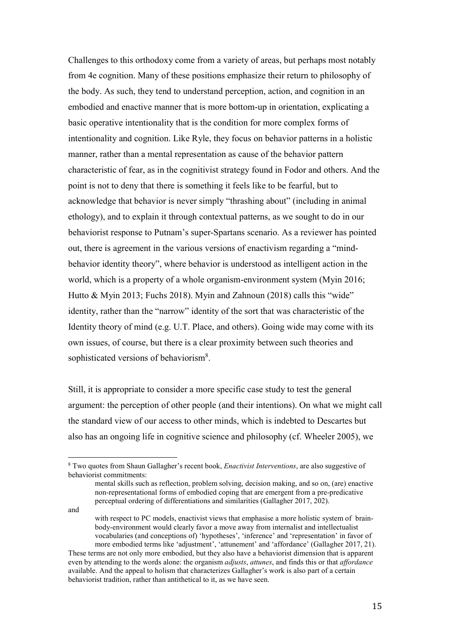Challenges to this orthodoxy come from a variety of areas, but perhaps most notably from 4e cognition. Many of these positions emphasize their return to philosophy of the body. As such, they tend to understand perception, action, and cognition in an embodied and enactive manner that is more bottom-up in orientation, explicating a basic operative intentionality that is the condition for more complex forms of intentionality and cognition. Like Ryle, they focus on behavior patterns in a holistic manner, rather than a mental representation as cause of the behavior pattern characteristic of fear, as in the cognitivist strategy found in Fodor and others. And the point is not to deny that there is something it feels like to be fearful, but to acknowledge that behavior is never simply "thrashing about" (including in animal ethology), and to explain it through contextual patterns, as we sought to do in our behaviorist response to Putnam's super-Spartans scenario. As a reviewer has pointed out, there is agreement in the various versions of enactivism regarding a "mindbehavior identity theory", where behavior is understood as intelligent action in the world, which is a property of a whole organism-environment system (Myin 2016; Hutto & Myin 2013; Fuchs 2018). Myin and Zahnoun (2018) calls this "wide" identity, rather than the "narrow" identity of the sort that was characteristic of the Identity theory of mind (e.g. U.T. Place, and others). Going wide may come with its own issues, of course, but there is a clear proximity between such theories and sophisticated versions of behaviorism<sup>8</sup>.

Still, it is appropriate to consider a more specific case study to test the general argument: the perception of other people (and their intentions). On what we might call the standard view of our access to other minds, which is indebted to Descartes but also has an ongoing life in cognitive science and philosophy (cf. Wheeler 2005), we

and

<sup>&</sup>lt;sup>8</sup> Two quotes from Shaun Gallagher's recent book, *Enactivist Interventions*, are also suggestive of behaviorist commitments:

mental skills such as reflection, problem solving, decision making, and so on, (are) enactive non-representational forms of embodied coping that are emergent from a pre-predicative perceptual ordering of differentiations and similarities (Gallagher 2017, 202).

with respect to PC models, enactivist views that emphasise a more holistic system of brainbody-environment would clearly favor a move away from internalist and intellectualist vocabularies (and conceptions of) 'hypotheses', 'inference' and 'representation' in favor of more embodied terms like 'adjustment', 'attunement' and 'affordance' (Gallagher 2017, 21). These terms are not only more embodied, but they also have a behaviorist dimension that is apparent even by attending to the words alone: the organism *adjusts*, *attunes*, and finds this or that *affordance* 

available. And the appeal to holism that characterizes Gallagher's work is also part of a certain behaviorist tradition, rather than antithetical to it, as we have seen.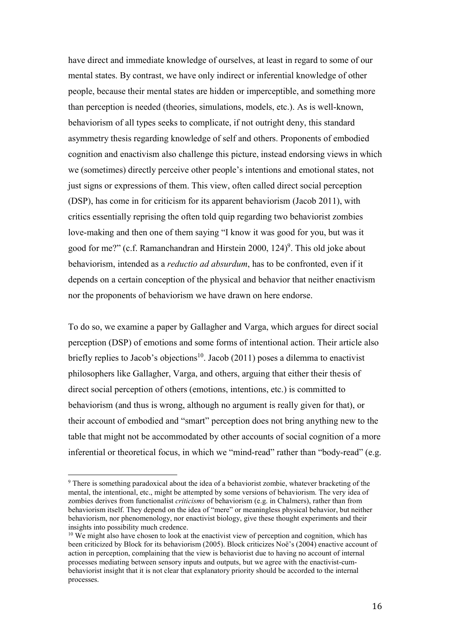have direct and immediate knowledge of ourselves, at least in regard to some of our mental states. By contrast, we have only indirect or inferential knowledge of other people, because their mental states are hidden or imperceptible, and something more than perception is needed (theories, simulations, models, etc.). As is well-known, behaviorism of all types seeks to complicate, if not outright deny, this standard asymmetry thesis regarding knowledge of self and others. Proponents of embodied cognition and enactivism also challenge this picture, instead endorsing views in which we (sometimes) directly perceive other people's intentions and emotional states, not just signs or expressions of them. This view, often called direct social perception (DSP), has come in for criticism for its apparent behaviorism (Jacob 2011), with critics essentially reprising the often told quip regarding two behaviorist zombies love-making and then one of them saying "I know it was good for you, but was it good for me?" (c.f. Ramanchandran and Hirstein 2000,  $124$ <sup>9</sup>. This old joke about behaviorism, intended as a *reductio ad absurdum*, has to be confronted, even if it depends on a certain conception of the physical and behavior that neither enactivism nor the proponents of behaviorism we have drawn on here endorse.

To do so, we examine a paper by Gallagher and Varga, which argues for direct social perception (DSP) of emotions and some forms of intentional action. Their article also briefly replies to Jacob's objections<sup>10</sup>. Jacob (2011) poses a dilemma to enactivist philosophers like Gallagher, Varga, and others, arguing that either their thesis of direct social perception of others (emotions, intentions, etc.) is committed to behaviorism (and thus is wrong, although no argument is really given for that), or their account of embodied and "smart" perception does not bring anything new to the table that might not be accommodated by other accounts of social cognition of a more inferential or theoretical focus, in which we "mind-read" rather than "body-read" (e.g.

<sup>&</sup>lt;sup>9</sup> There is something paradoxical about the idea of a behaviorist zombie, whatever bracketing of the mental, the intentional, etc., might be attempted by some versions of behaviorism. The very idea of zombies derives from functionalist criticisms of behaviorism (e.g. in Chalmers), rather than from behaviorism itself. They depend on the idea of "mere" or meaningless physical behavior, but neither behaviorism, nor phenomenology, nor enactivist biology, give these thought experiments and their insights into possibility much credence.

<sup>&</sup>lt;sup>10</sup> We might also have chosen to look at the enactivist view of perception and cognition, which has been criticized by Block for its behaviorism (2005). Block criticizes Noë's (2004) enactive account of action in perception, complaining that the view is behaviorist due to having no account of internal processes mediating between sensory inputs and outputs, but we agree with the enactivist-cumbehaviorist insight that it is not clear that explanatory priority should be accorded to the internal processes.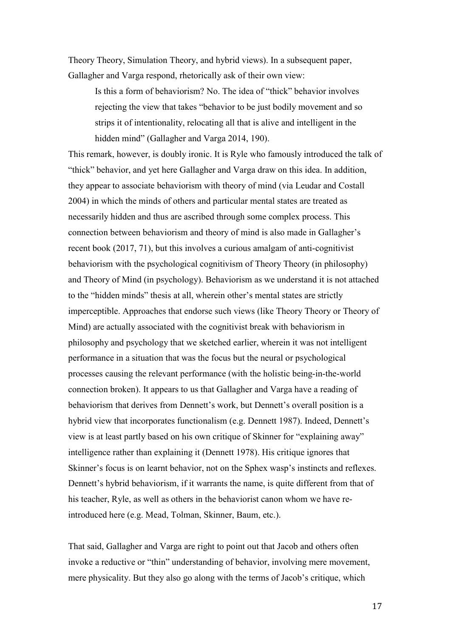Theory Theory, Simulation Theory, and hybrid views). In a subsequent paper, Gallagher and Varga respond, rhetorically ask of their own view:

Is this a form of behaviorism? No. The idea of "thick" behavior involves rejecting the view that takes "behavior to be just bodily movement and so strips it of intentionality, relocating all that is alive and intelligent in the hidden mind" (Gallagher and Varga 2014, 190).

This remark, however, is doubly ironic. It is Ryle who famously introduced the talk of "thick" behavior, and yet here Gallagher and Varga draw on this idea. In addition, they appear to associate behaviorism with theory of mind (via Leudar and Costall 2004) in which the minds of others and particular mental states are treated as necessarily hidden and thus are ascribed through some complex process. This connection between behaviorism and theory of mind is also made in Gallagher's recent book (2017, 71), but this involves a curious amalgam of anti-cognitivist behaviorism with the psychological cognitivism of Theory Theory (in philosophy) and Theory of Mind (in psychology). Behaviorism as we understand it is not attached to the "hidden minds" thesis at all, wherein other's mental states are strictly imperceptible. Approaches that endorse such views (like Theory Theory or Theory of Mind) are actually associated with the cognitivist break with behaviorism in philosophy and psychology that we sketched earlier, wherein it was not intelligent performance in a situation that was the focus but the neural or psychological processes causing the relevant performance (with the holistic being-in-the-world connection broken). It appears to us that Gallagher and Varga have a reading of behaviorism that derives from Dennett's work, but Dennett's overall position is a hybrid view that incorporates functionalism (e.g. Dennett 1987). Indeed, Dennett's view is at least partly based on his own critique of Skinner for "explaining away" intelligence rather than explaining it (Dennett 1978). His critique ignores that Skinner's focus is on learnt behavior, not on the Sphex wasp's instincts and reflexes. Dennett's hybrid behaviorism, if it warrants the name, is quite different from that of his teacher, Ryle, as well as others in the behaviorist canon whom we have reintroduced here (e.g. Mead, Tolman, Skinner, Baum, etc.).

That said, Gallagher and Varga are right to point out that Jacob and others often invoke a reductive or "thin" understanding of behavior, involving mere movement, mere physicality. But they also go along with the terms of Jacob's critique, which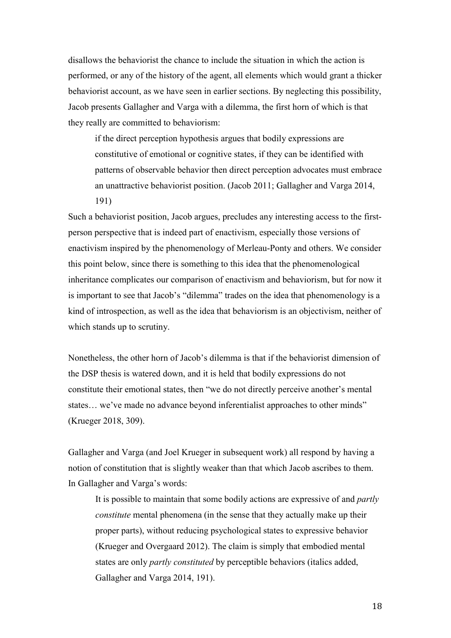disallows the behaviorist the chance to include the situation in which the action is performed, or any of the history of the agent, all elements which would grant a thicker behaviorist account, as we have seen in earlier sections. By neglecting this possibility, Jacob presents Gallagher and Varga with a dilemma, the first horn of which is that they really are committed to behaviorism:

if the direct perception hypothesis argues that bodily expressions are constitutive of emotional or cognitive states, if they can be identified with patterns of observable behavior then direct perception advocates must embrace an unattractive behaviorist position. (Jacob 2011; Gallagher and Varga 2014, 191)

Such a behaviorist position, Jacob argues, precludes any interesting access to the firstperson perspective that is indeed part of enactivism, especially those versions of enactivism inspired by the phenomenology of Merleau-Ponty and others. We consider this point below, since there is something to this idea that the phenomenological inheritance complicates our comparison of enactivism and behaviorism, but for now it is important to see that Jacob's "dilemma" trades on the idea that phenomenology is a kind of introspection, as well as the idea that behaviorism is an objectivism, neither of which stands up to scrutiny.

Nonetheless, the other horn of Jacob's dilemma is that if the behaviorist dimension of the DSP thesis is watered down, and it is held that bodily expressions do not constitute their emotional states, then "we do not directly perceive another's mental states… we've made no advance beyond inferentialist approaches to other minds" (Krueger 2018, 309).

Gallagher and Varga (and Joel Krueger in subsequent work) all respond by having a notion of constitution that is slightly weaker than that which Jacob ascribes to them. In Gallagher and Varga's words:

It is possible to maintain that some bodily actions are expressive of and partly constitute mental phenomena (in the sense that they actually make up their proper parts), without reducing psychological states to expressive behavior (Krueger and Overgaard 2012). The claim is simply that embodied mental states are only partly constituted by perceptible behaviors (italics added, Gallagher and Varga 2014, 191).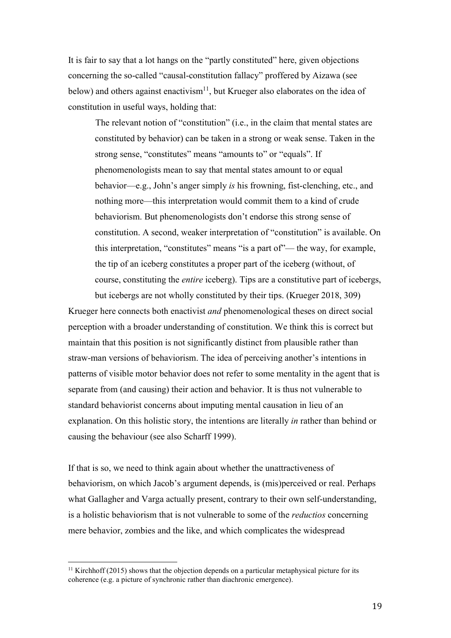It is fair to say that a lot hangs on the "partly constituted" here, given objections concerning the so-called "causal-constitution fallacy" proffered by Aizawa (see below) and others against enactivism<sup>11</sup>, but Krueger also elaborates on the idea of constitution in useful ways, holding that:

The relevant notion of "constitution" (i.e., in the claim that mental states are constituted by behavior) can be taken in a strong or weak sense. Taken in the strong sense, "constitutes" means "amounts to" or "equals". If phenomenologists mean to say that mental states amount to or equal behavior—e.g., John's anger simply is his frowning, fist-clenching, etc., and nothing more—this interpretation would commit them to a kind of crude behaviorism. But phenomenologists don't endorse this strong sense of constitution. A second, weaker interpretation of "constitution" is available. On this interpretation, "constitutes" means "is a part of"— the way, for example, the tip of an iceberg constitutes a proper part of the iceberg (without, of course, constituting the entire iceberg). Tips are a constitutive part of icebergs, but icebergs are not wholly constituted by their tips. (Krueger 2018, 309)

Krueger here connects both enactivist and phenomenological theses on direct social perception with a broader understanding of constitution. We think this is correct but maintain that this position is not significantly distinct from plausible rather than straw-man versions of behaviorism. The idea of perceiving another's intentions in patterns of visible motor behavior does not refer to some mentality in the agent that is separate from (and causing) their action and behavior. It is thus not vulnerable to standard behaviorist concerns about imputing mental causation in lieu of an explanation. On this holistic story, the intentions are literally in rather than behind or causing the behaviour (see also Scharff 1999).

If that is so, we need to think again about whether the unattractiveness of behaviorism, on which Jacob's argument depends, is (mis)perceived or real. Perhaps what Gallagher and Varga actually present, contrary to their own self-understanding, is a holistic behaviorism that is not vulnerable to some of the reductios concerning mere behavior, zombies and the like, and which complicates the widespread

 $11$  Kirchhoff (2015) shows that the objection depends on a particular metaphysical picture for its coherence (e.g. a picture of synchronic rather than diachronic emergence).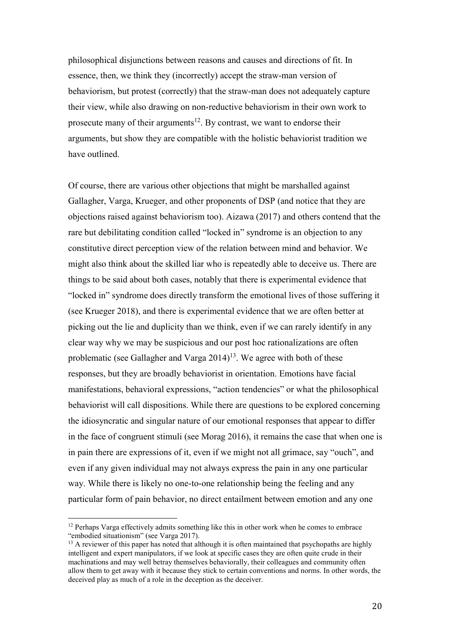philosophical disjunctions between reasons and causes and directions of fit. In essence, then, we think they (incorrectly) accept the straw-man version of behaviorism, but protest (correctly) that the straw-man does not adequately capture their view, while also drawing on non-reductive behaviorism in their own work to prosecute many of their arguments<sup>12</sup>. By contrast, we want to endorse their arguments, but show they are compatible with the holistic behaviorist tradition we have outlined.

Of course, there are various other objections that might be marshalled against Gallagher, Varga, Krueger, and other proponents of DSP (and notice that they are objections raised against behaviorism too). Aizawa (2017) and others contend that the rare but debilitating condition called "locked in" syndrome is an objection to any constitutive direct perception view of the relation between mind and behavior. We might also think about the skilled liar who is repeatedly able to deceive us. There are things to be said about both cases, notably that there is experimental evidence that "locked in" syndrome does directly transform the emotional lives of those suffering it (see Krueger 2018), and there is experimental evidence that we are often better at picking out the lie and duplicity than we think, even if we can rarely identify in any clear way why we may be suspicious and our post hoc rationalizations are often problematic (see Gallagher and Varga  $2014$ )<sup>13</sup>. We agree with both of these responses, but they are broadly behaviorist in orientation. Emotions have facial manifestations, behavioral expressions, "action tendencies" or what the philosophical behaviorist will call dispositions. While there are questions to be explored concerning the idiosyncratic and singular nature of our emotional responses that appear to differ in the face of congruent stimuli (see Morag 2016), it remains the case that when one is in pain there are expressions of it, even if we might not all grimace, say "ouch", and even if any given individual may not always express the pain in any one particular way. While there is likely no one-to-one relationship being the feeling and any particular form of pain behavior, no direct entailment between emotion and any one

 $12$  Perhaps Varga effectively admits something like this in other work when he comes to embrace "embodied situationism" (see Varga 2017).

 $13$  A reviewer of this paper has noted that although it is often maintained that psychopaths are highly intelligent and expert manipulators, if we look at specific cases they are often quite crude in their machinations and may well betray themselves behaviorally, their colleagues and community often allow them to get away with it because they stick to certain conventions and norms. In other words, the deceived play as much of a role in the deception as the deceiver.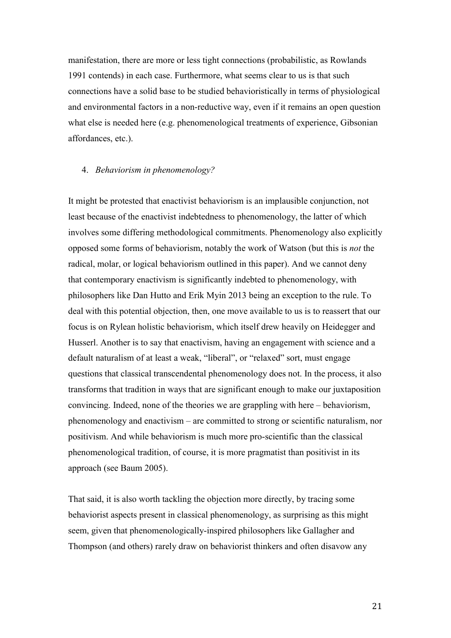manifestation, there are more or less tight connections (probabilistic, as Rowlands 1991 contends) in each case. Furthermore, what seems clear to us is that such connections have a solid base to be studied behavioristically in terms of physiological and environmental factors in a non-reductive way, even if it remains an open question what else is needed here (e.g. phenomenological treatments of experience, Gibsonian affordances, etc.).

#### 4. Behaviorism in phenomenology?

It might be protested that enactivist behaviorism is an implausible conjunction, not least because of the enactivist indebtedness to phenomenology, the latter of which involves some differing methodological commitments. Phenomenology also explicitly opposed some forms of behaviorism, notably the work of Watson (but this is not the radical, molar, or logical behaviorism outlined in this paper). And we cannot deny that contemporary enactivism is significantly indebted to phenomenology, with philosophers like Dan Hutto and Erik Myin 2013 being an exception to the rule. To deal with this potential objection, then, one move available to us is to reassert that our focus is on Rylean holistic behaviorism, which itself drew heavily on Heidegger and Husserl. Another is to say that enactivism, having an engagement with science and a default naturalism of at least a weak, "liberal", or "relaxed" sort, must engage questions that classical transcendental phenomenology does not. In the process, it also transforms that tradition in ways that are significant enough to make our juxtaposition convincing. Indeed, none of the theories we are grappling with here – behaviorism, phenomenology and enactivism – are committed to strong or scientific naturalism, nor positivism. And while behaviorism is much more pro-scientific than the classical phenomenological tradition, of course, it is more pragmatist than positivist in its approach (see Baum 2005).

That said, it is also worth tackling the objection more directly, by tracing some behaviorist aspects present in classical phenomenology, as surprising as this might seem, given that phenomenologically-inspired philosophers like Gallagher and Thompson (and others) rarely draw on behaviorist thinkers and often disavow any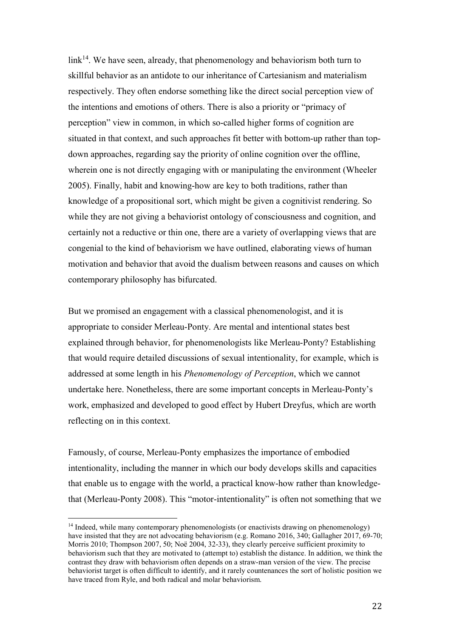$link^{14}$ . We have seen, already, that phenomenology and behaviorism both turn to skillful behavior as an antidote to our inheritance of Cartesianism and materialism respectively. They often endorse something like the direct social perception view of the intentions and emotions of others. There is also a priority or "primacy of perception" view in common, in which so-called higher forms of cognition are situated in that context, and such approaches fit better with bottom-up rather than topdown approaches, regarding say the priority of online cognition over the offline, wherein one is not directly engaging with or manipulating the environment (Wheeler 2005). Finally, habit and knowing-how are key to both traditions, rather than knowledge of a propositional sort, which might be given a cognitivist rendering. So while they are not giving a behaviorist ontology of consciousness and cognition, and certainly not a reductive or thin one, there are a variety of overlapping views that are congenial to the kind of behaviorism we have outlined, elaborating views of human motivation and behavior that avoid the dualism between reasons and causes on which contemporary philosophy has bifurcated.

But we promised an engagement with a classical phenomenologist, and it is appropriate to consider Merleau-Ponty. Are mental and intentional states best explained through behavior, for phenomenologists like Merleau-Ponty? Establishing that would require detailed discussions of sexual intentionality, for example, which is addressed at some length in his Phenomenology of Perception, which we cannot undertake here. Nonetheless, there are some important concepts in Merleau-Ponty's work, emphasized and developed to good effect by Hubert Dreyfus, which are worth reflecting on in this context.

Famously, of course, Merleau-Ponty emphasizes the importance of embodied intentionality, including the manner in which our body develops skills and capacities that enable us to engage with the world, a practical know-how rather than knowledgethat (Merleau-Ponty 2008). This "motor-intentionality" is often not something that we

 $14$  Indeed, while many contemporary phenomenologists (or enactivists drawing on phenomenology) have insisted that they are not advocating behaviorism (e.g. Romano 2016, 340; Gallagher 2017, 69-70; Morris 2010; Thompson 2007, 50; Noë 2004, 32-33), they clearly perceive sufficient proximity to behaviorism such that they are motivated to (attempt to) establish the distance. In addition, we think the contrast they draw with behaviorism often depends on a straw-man version of the view. The precise behaviorist target is often difficult to identify, and it rarely countenances the sort of holistic position we have traced from Ryle, and both radical and molar behaviorism.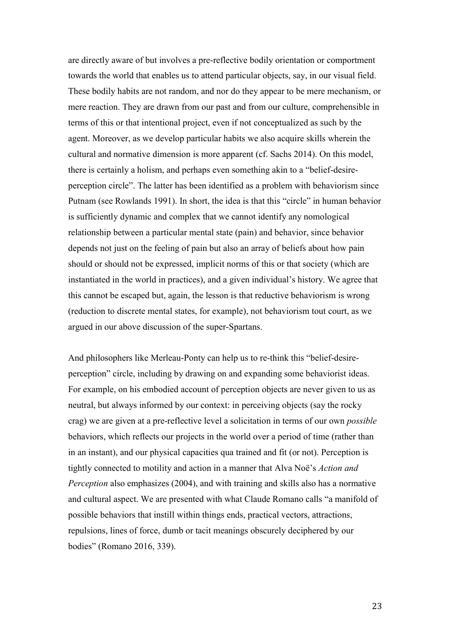are directly aware of but involves a pre-reflective bodily orientation or comportment towards the world that enables us to attend particular objects, say, in our visual field. These bodily habits are not random, and nor do they appear to be mere mechanism, or mere reaction. They are drawn from our past and from our culture, comprehensible in terms of this or that intentional project, even if not conceptualized as such by the agent. Moreover, as we develop particular habits we also acquire skills wherein the cultural and normative dimension is more apparent (cf. Sachs 2014). On this model, there is certainly a holism, and perhaps even something akin to a "belief-desireperception circle". The latter has been identified as a problem with behaviorism since Putnam (see Rowlands 1991). In short, the idea is that this "circle" in human behavior is sufficiently dynamic and complex that we cannot identify any nomological relationship between a particular mental state (pain) and behavior, since behavior depends not just on the feeling of pain but also an array of beliefs about how pain should or should not be expressed, implicit norms of this or that society (which are instantiated in the world in practices), and a given individual's history. We agree that this cannot be escaped but, again, the lesson is that reductive behaviorism is wrong (reduction to discrete mental states, for example), not behaviorism tout court, as we argued in our above discussion of the super-Spartans.

And philosophers like Merleau-Ponty can help us to re-think this "belief-desireperception" circle, including by drawing on and expanding some behaviorist ideas. For example, on his embodied account of perception objects are never given to us as neutral, but always informed by our context: in perceiving objects (say the rocky crag) we are given at a pre-reflective level a solicitation in terms of our own possible behaviors, which reflects our projects in the world over a period of time (rather than in an instant), and our physical capacities qua trained and fit (or not). Perception is tightly connected to motility and action in a manner that Alva Noë's Action and Perception also emphasizes (2004), and with training and skills also has a normative and cultural aspect. We are presented with what Claude Romano calls "a manifold of possible behaviors that instill within things ends, practical vectors, attractions, repulsions, lines of force, dumb or tacit meanings obscurely deciphered by our bodies" (Romano 2016, 339).

23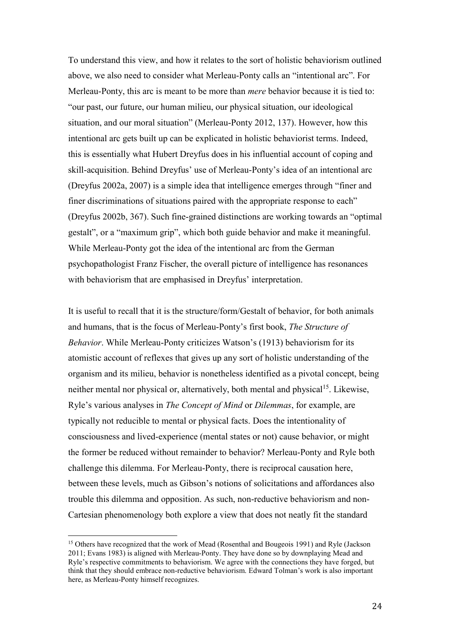To understand this view, and how it relates to the sort of holistic behaviorism outlined above, we also need to consider what Merleau-Ponty calls an "intentional arc". For Merleau-Ponty, this arc is meant to be more than mere behavior because it is tied to: "our past, our future, our human milieu, our physical situation, our ideological situation, and our moral situation" (Merleau-Ponty 2012, 137). However, how this intentional arc gets built up can be explicated in holistic behaviorist terms. Indeed, this is essentially what Hubert Dreyfus does in his influential account of coping and skill-acquisition. Behind Dreyfus' use of Merleau-Ponty's idea of an intentional arc (Dreyfus 2002a, 2007) is a simple idea that intelligence emerges through "finer and finer discriminations of situations paired with the appropriate response to each" (Dreyfus 2002b, 367). Such fine-grained distinctions are working towards an "optimal gestalt", or a "maximum grip", which both guide behavior and make it meaningful. While Merleau-Ponty got the idea of the intentional arc from the German psychopathologist Franz Fischer, the overall picture of intelligence has resonances with behaviorism that are emphasised in Dreyfus' interpretation.

It is useful to recall that it is the structure/form/Gestalt of behavior, for both animals and humans, that is the focus of Merleau-Ponty's first book, The Structure of Behavior. While Merleau-Ponty criticizes Watson's (1913) behaviorism for its atomistic account of reflexes that gives up any sort of holistic understanding of the organism and its milieu, behavior is nonetheless identified as a pivotal concept, being neither mental nor physical or, alternatively, both mental and physical<sup>15</sup>. Likewise, Ryle's various analyses in The Concept of Mind or Dilemmas, for example, are typically not reducible to mental or physical facts. Does the intentionality of consciousness and lived-experience (mental states or not) cause behavior, or might the former be reduced without remainder to behavior? Merleau-Ponty and Ryle both challenge this dilemma. For Merleau-Ponty, there is reciprocal causation here, between these levels, much as Gibson's notions of solicitations and affordances also trouble this dilemma and opposition. As such, non-reductive behaviorism and non-Cartesian phenomenology both explore a view that does not neatly fit the standard

<sup>15</sup> Others have recognized that the work of Mead (Rosenthal and Bougeois 1991) and Ryle (Jackson 2011; Evans 1983) is aligned with Merleau-Ponty. They have done so by downplaying Mead and Ryle's respective commitments to behaviorism. We agree with the connections they have forged, but think that they should embrace non-reductive behaviorism. Edward Tolman's work is also important here, as Merleau-Ponty himself recognizes.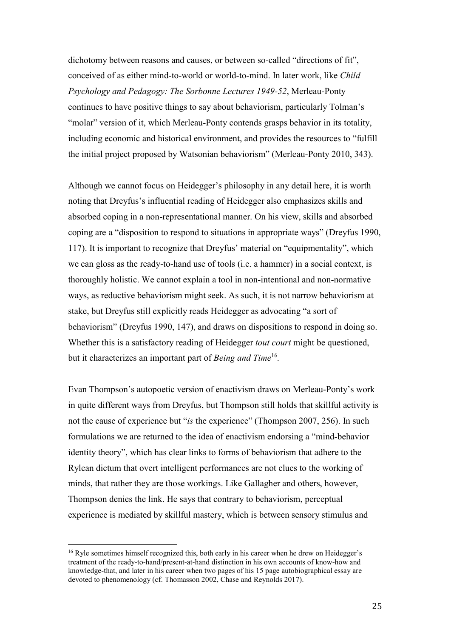dichotomy between reasons and causes, or between so-called "directions of fit", conceived of as either mind-to-world or world-to-mind. In later work, like Child Psychology and Pedagogy: The Sorbonne Lectures 1949-52, Merleau-Ponty continues to have positive things to say about behaviorism, particularly Tolman's "molar" version of it, which Merleau-Ponty contends grasps behavior in its totality, including economic and historical environment, and provides the resources to "fulfill the initial project proposed by Watsonian behaviorism" (Merleau-Ponty 2010, 343).

Although we cannot focus on Heidegger's philosophy in any detail here, it is worth noting that Dreyfus's influential reading of Heidegger also emphasizes skills and absorbed coping in a non-representational manner. On his view, skills and absorbed coping are a "disposition to respond to situations in appropriate ways" (Dreyfus 1990, 117). It is important to recognize that Dreyfus' material on "equipmentality", which we can gloss as the ready-to-hand use of tools (i.e. a hammer) in a social context, is thoroughly holistic. We cannot explain a tool in non-intentional and non-normative ways, as reductive behaviorism might seek. As such, it is not narrow behaviorism at stake, but Dreyfus still explicitly reads Heidegger as advocating "a sort of behaviorism" (Dreyfus 1990, 147), and draws on dispositions to respond in doing so. Whether this is a satisfactory reading of Heidegger *tout court* might be questioned, but it characterizes an important part of Being and Time<sup>16</sup>.

Evan Thompson's autopoetic version of enactivism draws on Merleau-Ponty's work in quite different ways from Dreyfus, but Thompson still holds that skillful activity is not the cause of experience but "is the experience" (Thompson 2007, 256). In such formulations we are returned to the idea of enactivism endorsing a "mind-behavior identity theory", which has clear links to forms of behaviorism that adhere to the Rylean dictum that overt intelligent performances are not clues to the working of minds, that rather they are those workings. Like Gallagher and others, however, Thompson denies the link. He says that contrary to behaviorism, perceptual experience is mediated by skillful mastery, which is between sensory stimulus and

<sup>&</sup>lt;sup>16</sup> Ryle sometimes himself recognized this, both early in his career when he drew on Heidegger's treatment of the ready-to-hand/present-at-hand distinction in his own accounts of know-how and knowledge-that, and later in his career when two pages of his 15 page autobiographical essay are devoted to phenomenology (cf. Thomasson 2002, Chase and Reynolds 2017).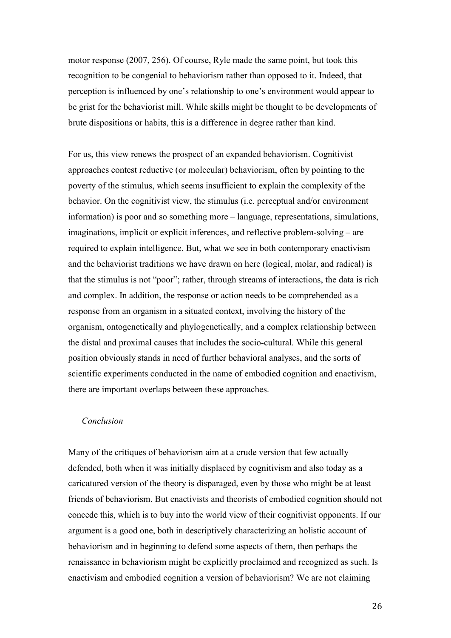motor response (2007, 256). Of course, Ryle made the same point, but took this recognition to be congenial to behaviorism rather than opposed to it. Indeed, that perception is influenced by one's relationship to one's environment would appear to be grist for the behaviorist mill. While skills might be thought to be developments of brute dispositions or habits, this is a difference in degree rather than kind.

For us, this view renews the prospect of an expanded behaviorism. Cognitivist approaches contest reductive (or molecular) behaviorism, often by pointing to the poverty of the stimulus, which seems insufficient to explain the complexity of the behavior. On the cognitivist view, the stimulus (i.e. perceptual and/or environment information) is poor and so something more – language, representations, simulations, imaginations, implicit or explicit inferences, and reflective problem-solving – are required to explain intelligence. But, what we see in both contemporary enactivism and the behaviorist traditions we have drawn on here (logical, molar, and radical) is that the stimulus is not "poor"; rather, through streams of interactions, the data is rich and complex. In addition, the response or action needs to be comprehended as a response from an organism in a situated context, involving the history of the organism, ontogenetically and phylogenetically, and a complex relationship between the distal and proximal causes that includes the socio-cultural. While this general position obviously stands in need of further behavioral analyses, and the sorts of scientific experiments conducted in the name of embodied cognition and enactivism, there are important overlaps between these approaches.

#### Conclusion

Many of the critiques of behaviorism aim at a crude version that few actually defended, both when it was initially displaced by cognitivism and also today as a caricatured version of the theory is disparaged, even by those who might be at least friends of behaviorism. But enactivists and theorists of embodied cognition should not concede this, which is to buy into the world view of their cognitivist opponents. If our argument is a good one, both in descriptively characterizing an holistic account of behaviorism and in beginning to defend some aspects of them, then perhaps the renaissance in behaviorism might be explicitly proclaimed and recognized as such. Is enactivism and embodied cognition a version of behaviorism? We are not claiming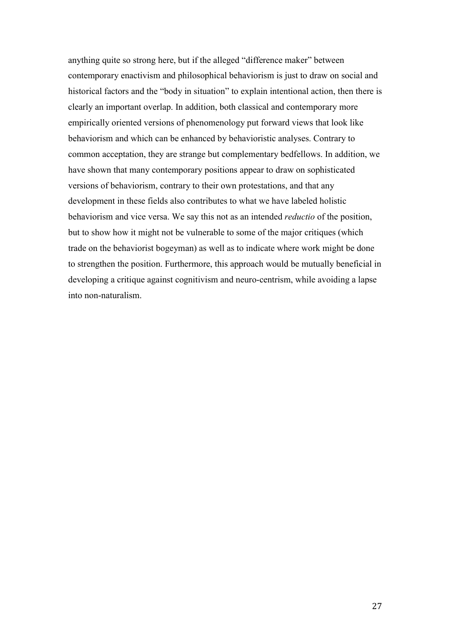anything quite so strong here, but if the alleged "difference maker" between contemporary enactivism and philosophical behaviorism is just to draw on social and historical factors and the "body in situation" to explain intentional action, then there is clearly an important overlap. In addition, both classical and contemporary more empirically oriented versions of phenomenology put forward views that look like behaviorism and which can be enhanced by behavioristic analyses. Contrary to common acceptation, they are strange but complementary bedfellows. In addition, we have shown that many contemporary positions appear to draw on sophisticated versions of behaviorism, contrary to their own protestations, and that any development in these fields also contributes to what we have labeled holistic behaviorism and vice versa. We say this not as an intended *reductio* of the position, but to show how it might not be vulnerable to some of the major critiques (which trade on the behaviorist bogeyman) as well as to indicate where work might be done to strengthen the position. Furthermore, this approach would be mutually beneficial in developing a critique against cognitivism and neuro-centrism, while avoiding a lapse into non-naturalism.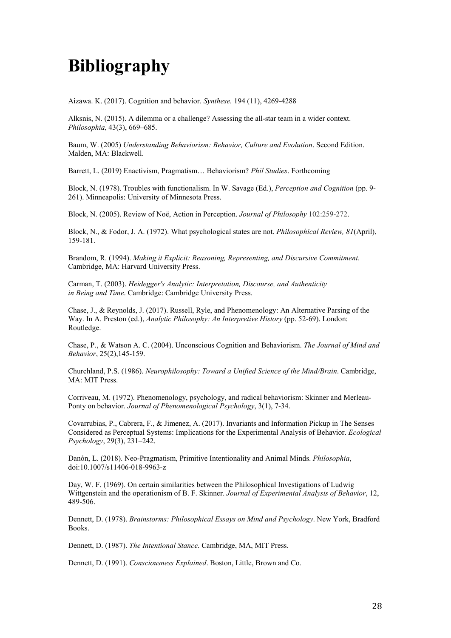# Bibliography

Aizawa. K. (2017). Cognition and behavior. Synthese. 194 (11), 4269-4288

Alksnis, N. (2015). A dilemma or a challenge? Assessing the all-star team in a wider context. Philosophia, 43(3), 669–685.

Baum, W. (2005) Understanding Behaviorism: Behavior, Culture and Evolution. Second Edition. Malden, MA: Blackwell.

Barrett, L. (2019) Enactivism, Pragmatism… Behaviorism? Phil Studies. Forthcoming

Block, N. (1978). Troubles with functionalism. In W. Savage (Ed.), Perception and Cognition (pp. 9- 261). Minneapolis: University of Minnesota Press.

Block, N. (2005). Review of Noë, Action in Perception. Journal of Philosophy 102:259-272.

Block, N., & Fodor, J. A. (1972). What psychological states are not. Philosophical Review, 81(April), 159-181.

Brandom, R. (1994). Making it Explicit: Reasoning, Representing, and Discursive Commitment. Cambridge, MA: Harvard University Press.

Carman, T. (2003). Heidegger's Analytic: Interpretation, Discourse, and Authenticity in Being and Time. Cambridge: Cambridge University Press.

Chase, J., & Reynolds, J. (2017). Russell, Ryle, and Phenomenology: An Alternative Parsing of the Way. In A. Preston (ed.), Analytic Philosophy: An Interpretive History (pp. 52-69). London: Routledge.

Chase, P., & Watson A. C. (2004). Unconscious Cognition and Behaviorism. The Journal of Mind and Behavior, 25(2),145-159.

Churchland, P.S. (1986). Neurophilosophy: Toward a Unified Science of the Mind/Brain. Cambridge, MA: MIT Press.

Corriveau, M. (1972). Phenomenology, psychology, and radical behaviorism: Skinner and Merleau-Ponty on behavior. Journal of Phenomenological Psychology, 3(1), 7-34.

Covarrubias, P., Cabrera, F., & Jimenez, A. (2017). Invariants and Information Pickup in The Senses Considered as Perceptual Systems: Implications for the Experimental Analysis of Behavior. Ecological Psychology, 29(3), 231–242.

Danón, L. (2018). Neo-Pragmatism, Primitive Intentionality and Animal Minds. Philosophia, doi:10.1007/s11406-018-9963-z

Day, W. F. (1969). On certain similarities between the Philosophical Investigations of Ludwig Wittgenstein and the operationism of B. F. Skinner. Journal of Experimental Analysis of Behavior, 12, 489-506.

Dennett, D. (1978). Brainstorms: Philosophical Essays on Mind and Psychology. New York, Bradford Books.

Dennett, D. (1987). The Intentional Stance. Cambridge, MA, MIT Press.

Dennett, D. (1991). Consciousness Explained. Boston, Little, Brown and Co.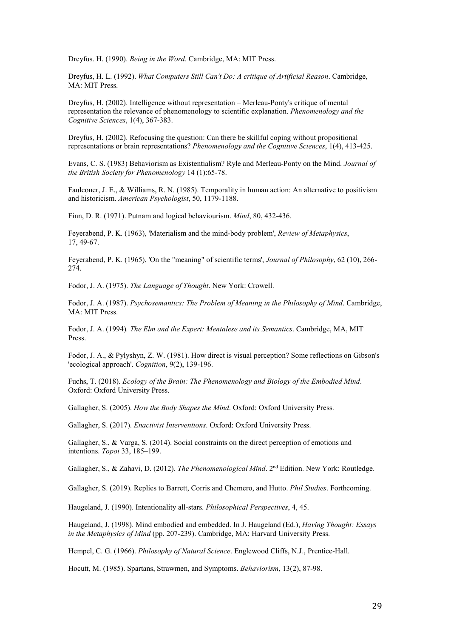Dreyfus. H. (1990). Being in the Word. Cambridge, MA: MIT Press.

Dreyfus, H. L. (1992). What Computers Still Can't Do: A critique of Artificial Reason. Cambridge, MA: MIT Press.

Dreyfus, H. (2002). Intelligence without representation – Merleau-Ponty's critique of mental representation the relevance of phenomenology to scientific explanation. Phenomenology and the Cognitive Sciences, 1(4), 367-383.

Dreyfus, H. (2002). Refocusing the question: Can there be skillful coping without propositional representations or brain representations? Phenomenology and the Cognitive Sciences, 1(4), 413-425.

Evans, C. S. (1983) Behaviorism as Existentialism? Ryle and Merleau-Ponty on the Mind. Journal of the British Society for Phenomenology 14 (1):65-78.

Faulconer, J. E., & Williams, R. N. (1985). Temporality in human action: An alternative to positivism and historicism. American Psychologist, 50, 1179-1188.

Finn, D. R. (1971). Putnam and logical behaviourism. Mind, 80, 432-436.

Feyerabend, P. K. (1963), 'Materialism and the mind-body problem', Review of Metaphysics, 17, 49-67.

Feyerabend, P. K. (1965), 'On the "meaning" of scientific terms', Journal of Philosophy, 62 (10), 266- 274.

Fodor, J. A. (1975). The Language of Thought. New York: Crowell.

Fodor, J. A. (1987). Psychosemantics: The Problem of Meaning in the Philosophy of Mind. Cambridge, MA: MIT Press.

Fodor, J. A. (1994). The Elm and the Expert: Mentalese and its Semantics. Cambridge, MA, MIT Press.

Fodor, J. A., & Pylyshyn, Z. W. (1981). How direct is visual perception? Some reflections on Gibson's 'ecological approach'. Cognition, 9(2), 139-196.

Fuchs, T. (2018). Ecology of the Brain: The Phenomenology and Biology of the Embodied Mind. Oxford: Oxford University Press.

Gallagher, S. (2005). How the Body Shapes the Mind. Oxford: Oxford University Press.

Gallagher, S. (2017). Enactivist Interventions. Oxford: Oxford University Press.

Gallagher, S., & Varga, S. (2014). Social constraints on the direct perception of emotions and intentions. Topoi 33, 185–199.

Gallagher, S., & Zahavi, D. (2012). The Phenomenological Mind. 2<sup>nd</sup> Edition. New York: Routledge.

Gallagher, S. (2019). Replies to Barrett, Corris and Chemero, and Hutto. Phil Studies. Forthcoming.

Haugeland, J. (1990). Intentionality all-stars. Philosophical Perspectives, 4, 45.

Haugeland, J. (1998). Mind embodied and embedded. In J. Haugeland (Ed.), Having Thought: Essays in the Metaphysics of Mind (pp. 207-239). Cambridge, MA: Harvard University Press.

Hempel, C. G. (1966). Philosophy of Natural Science. Englewood Cliffs, N.J., Prentice-Hall.

Hocutt, M. (1985). Spartans, Strawmen, and Symptoms. Behaviorism, 13(2), 87-98.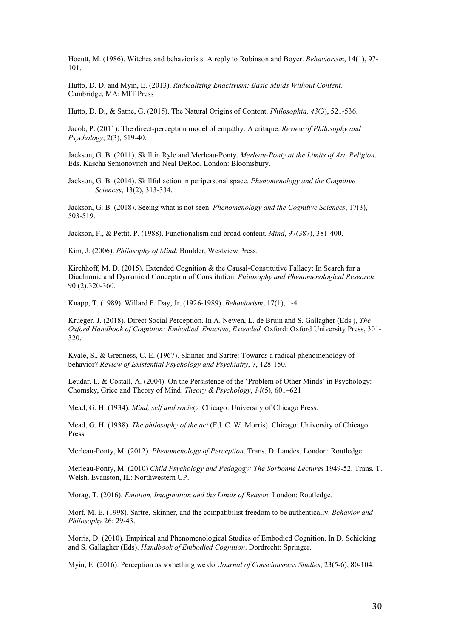Hocutt, M. (1986). Witches and behaviorists: A reply to Robinson and Boyer. Behaviorism, 14(1), 97- 101.

Hutto, D. D. and Myin, E. (2013). Radicalizing Enactivism: Basic Minds Without Content. Cambridge, MA: MIT Press

Hutto, D. D., & Satne, G. (2015). The Natural Origins of Content. Philosophia, 43(3), 521-536.

Jacob, P. (2011). The direct-perception model of empathy: A critique. Review of Philosophy and Psychology, 2(3), 519-40.

Jackson, G. B. (2011). Skill in Ryle and Merleau-Ponty. Merleau-Ponty at the Limits of Art, Religion. Eds. Kascha Semonovitch and Neal DeRoo. London: Bloomsbury.

Jackson, G. B. (2014). Skillful action in peripersonal space. Phenomenology and the Cognitive Sciences, 13(2), 313-334.

Jackson, G. B. (2018). Seeing what is not seen. Phenomenology and the Cognitive Sciences, 17(3), 503-519.

Jackson, F., & Pettit, P. (1988). Functionalism and broad content. Mind, 97(387), 381-400.

Kim, J. (2006). Philosophy of Mind. Boulder, Westview Press.

Kirchhoff, M. D. (2015). Extended Cognition & the Causal-Constitutive Fallacy: In Search for a Diachronic and Dynamical Conception of Constitution. Philosophy and Phenomenological Research 90 (2):320-360.

Knapp, T. (1989). Willard F. Day, Jr. (1926-1989). Behaviorism, 17(1), 1-4.

Krueger, J. (2018). Direct Social Perception. In A. Newen, L. de Bruin and S. Gallagher (Eds.), The Oxford Handbook of Cognition: Embodied, Enactive, Extended. Oxford: Oxford University Press, 301- 320.

Kvale, S., & Grenness, C. E. (1967). Skinner and Sartre: Towards a radical phenomenology of behavior? Review of Existential Psychology and Psychiatry, 7, 128-150.

Leudar, I., & Costall, A. (2004). On the Persistence of the 'Problem of Other Minds' in Psychology: Chomsky, Grice and Theory of Mind. Theory & Psychology, 14(5), 601–621

Mead, G. H. (1934). Mind, self and society. Chicago: University of Chicago Press.

Mead, G. H. (1938). The philosophy of the act (Ed. C. W. Morris). Chicago: University of Chicago Press.

Merleau-Ponty, M. (2012). Phenomenology of Perception. Trans. D. Landes. London: Routledge.

Merleau-Ponty, M. (2010) Child Psychology and Pedagogy: The Sorbonne Lectures 1949-52. Trans. T. Welsh. Evanston, IL: Northwestern UP.

Morag, T. (2016). Emotion, Imagination and the Limits of Reason. London: Routledge.

Morf, M. E. (1998). Sartre, Skinner, and the compatibilist freedom to be authentically. Behavior and Philosophy 26: 29-43.

Morris, D. (2010). Empirical and Phenomenological Studies of Embodied Cognition. In D. Schicking and S. Gallagher (Eds). Handbook of Embodied Cognition. Dordrecht: Springer.

Myin, E. (2016). Perception as something we do. Journal of Consciousness Studies, 23(5-6), 80-104.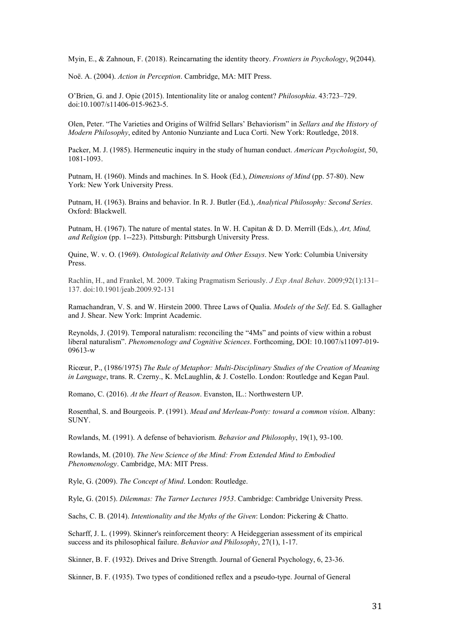Myin, E., & Zahnoun, F. (2018). Reincarnating the identity theory. Frontiers in Psychology, 9(2044).

Noë. A. (2004). Action in Perception. Cambridge, MA: MIT Press.

O'Brien, G. and J. Opie (2015). Intentionality lite or analog content? Philosophia. 43:723–729. doi:10.1007/s11406-015-9623-5.

Olen, Peter. "The Varieties and Origins of Wilfrid Sellars' Behaviorism" in Sellars and the History of Modern Philosophy, edited by Antonio Nunziante and Luca Corti. New York: Routledge, 2018.

Packer, M. J. (1985). Hermeneutic inquiry in the study of human conduct. American Psychologist, 50, 1081-1093.

Putnam, H. (1960). Minds and machines. In S. Hook (Ed.), Dimensions of Mind (pp. 57-80). New York: New York University Press.

Putnam, H. (1963). Brains and behavior. In R. J. Butler (Ed.), Analytical Philosophy: Second Series. Oxford: Blackwell.

Putnam, H. (1967). The nature of mental states. In W. H. Capitan & D. D. Merrill (Eds.), Art, Mind, and Religion (pp. 1--223). Pittsburgh: Pittsburgh University Press.

Quine, W. v. O. (1969). Ontological Relativity and Other Essays. New York: Columbia University Press.

Rachlin, H., and Frankel, M. 2009. Taking Pragmatism Seriously. J Exp Anal Behav. 2009;92(1):131– 137. doi:10.1901/jeab.2009.92-131

Ramachandran, V. S. and W. Hirstein 2000. Three Laws of Qualia. Models of the Self. Ed. S. Gallagher and J. Shear. New York: Imprint Academic.

Reynolds, J. (2019). Temporal naturalism: reconciling the "4Ms" and points of view within a robust liberal naturalism". Phenomenology and Cognitive Sciences. Forthcoming, DOI: 10.1007/s11097-019- 09613-w

Ricœur, P., (1986/1975) The Rule of Metaphor: Multi-Disciplinary Studies of the Creation of Meaning in Language, trans. R. Czerny., K. McLaughlin, & J. Costello. London: Routledge and Kegan Paul.

Romano, C. (2016). At the Heart of Reason. Evanston, IL.: Northwestern UP.

Rosenthal, S. and Bourgeois. P. (1991). Mead and Merleau-Ponty: toward a common vision. Albany: SUNY.

Rowlands, M. (1991). A defense of behaviorism. Behavior and Philosophy, 19(1), 93-100.

Rowlands, M. (2010). The New Science of the Mind: From Extended Mind to Embodied Phenomenology. Cambridge, MA: MIT Press.

Ryle, G. (2009). The Concept of Mind. London: Routledge.

Ryle, G. (2015). Dilemmas: The Tarner Lectures 1953. Cambridge: Cambridge University Press.

Sachs, C. B. (2014). Intentionality and the Myths of the Given: London: Pickering & Chatto.

Scharff, J. L. (1999). Skinner's reinforcement theory: A Heideggerian assessment of its empirical success and its philosophical failure. Behavior and Philosophy, 27(1), 1-17.

Skinner, B. F. (1932). Drives and Drive Strength. Journal of General Psychology, 6, 23-36.

Skinner, B. F. (1935). Two types of conditioned reflex and a pseudo-type. Journal of General